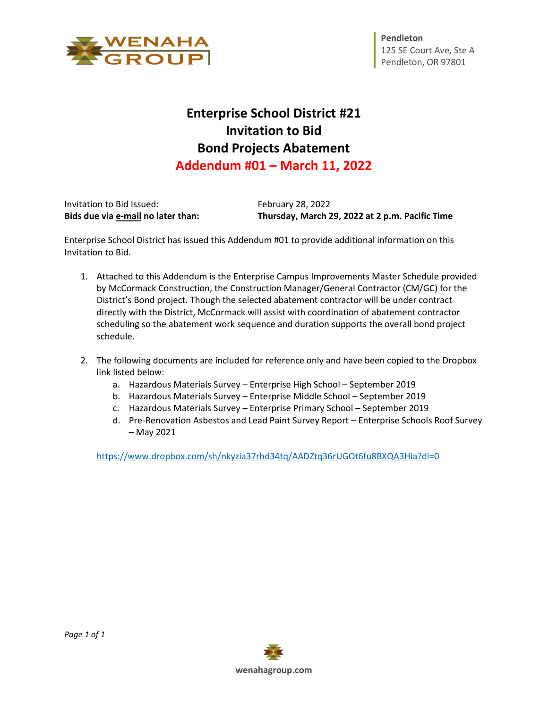

## **Enterprise School District #21 Invitation to Bid Bond Projects Abatement Addendum #01 – March 11, 2022**

| Bids due via e-mail no later than: | Thursday, March 29, 2022 at 2 p.m. Pacific Time |
|------------------------------------|-------------------------------------------------|
| Invitation to Bid Issued:          | <b>February 28, 2022</b>                        |

Enterprise School District has issued this Addendum #01 to provide additional information on this Invitation to Bid.

- 1. Attached to this Addendum is the Enterprise Campus Improvements Master Schedule provided by McCormack Construction, the Construction Manager/General Contractor (CM/GC) for the District's Bond project. Though the selected abatement contractor will be under contract directly with the District, McCormack will assist with coordination of abatement contractor scheduling so the abatement work sequence and duration supports the overall bond project schedule.
- 2. The following documents are included for reference only and have been copied to the Dropbox link listed below:
	- a. Hazardous Materials Survey Enterprise High School September 2019
	- b. Hazardous Materials Survey Enterprise Middle School September 2019
	- c. Hazardous Materials Survey Enterprise Primary School September 2019
	- d. Pre-Renovation Asbestos and Lead Paint Survey Report Enterprise Schools Roof Survey – May 2021

<https://www.dropbox.com/sh/nkyzia37rhd34tq/AADZtq36rUGOt6fu8BXQA3Hia?dl=0>